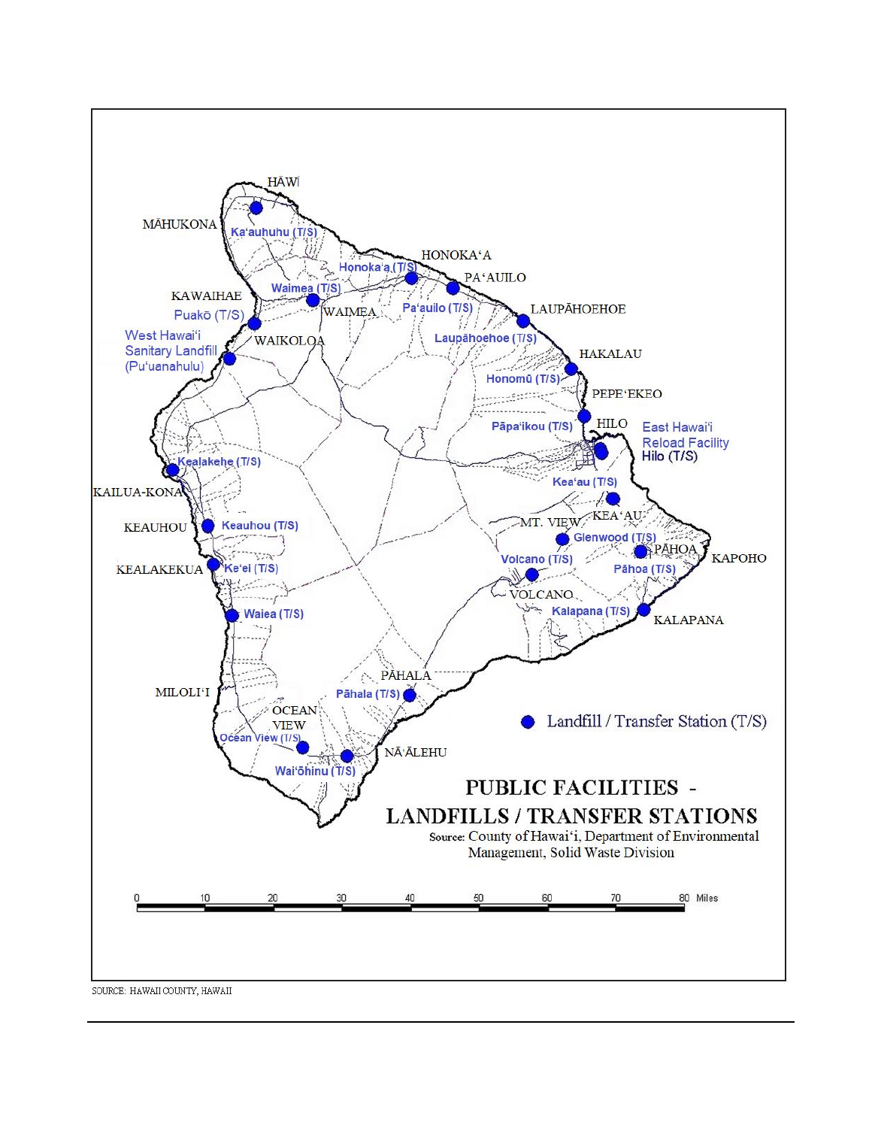

SOURCE: HAWAII COUNTY, HAWAII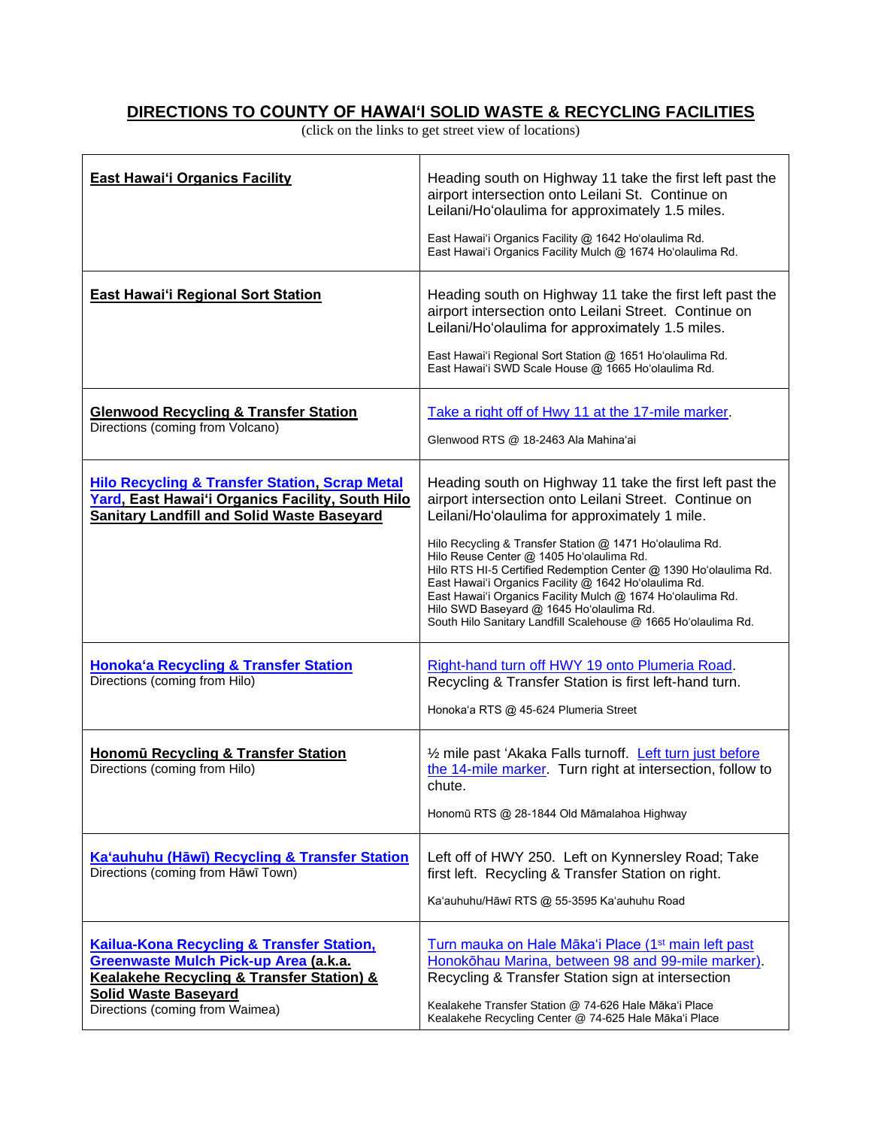## **DIRECTIONS TO COUNTY OF HAWAI'I SOLID WASTE & RECYCLING FACILITIES**

(click on the links to get street view of locations)

| <b>East Hawai'i Organics Facility</b>                                                                                                                                                                        | Heading south on Highway 11 take the first left past the<br>airport intersection onto Leilani St. Continue on<br>Leilani/Ho'olaulima for approximately 1.5 miles.<br>East Hawai'i Organics Facility @ 1642 Ho'olaulima Rd.<br>East Hawai'i Organics Facility Mulch @ 1674 Ho'olaulima Rd.                                                                                                                                                                                                                                                                                            |
|--------------------------------------------------------------------------------------------------------------------------------------------------------------------------------------------------------------|--------------------------------------------------------------------------------------------------------------------------------------------------------------------------------------------------------------------------------------------------------------------------------------------------------------------------------------------------------------------------------------------------------------------------------------------------------------------------------------------------------------------------------------------------------------------------------------|
| <b>East Hawai'i Regional Sort Station</b>                                                                                                                                                                    | Heading south on Highway 11 take the first left past the<br>airport intersection onto Leilani Street. Continue on<br>Leilani/Ho'olaulima for approximately 1.5 miles.<br>East Hawai'i Regional Sort Station @ 1651 Ho'olaulima Rd.<br>East Hawai'i SWD Scale House @ 1665 Ho'olaulima Rd.                                                                                                                                                                                                                                                                                            |
| <b>Glenwood Recycling &amp; Transfer Station</b><br>Directions (coming from Volcano)                                                                                                                         | Take a right off of Hwy 11 at the 17-mile marker.<br>Glenwood RTS @ 18-2463 Ala Mahina'ai                                                                                                                                                                                                                                                                                                                                                                                                                                                                                            |
| <b>Hilo Recycling &amp; Transfer Station, Scrap Metal</b><br>Yard, East Hawai'i Organics Facility, South Hilo<br><b>Sanitary Landfill and Solid Waste Baseyard</b>                                           | Heading south on Highway 11 take the first left past the<br>airport intersection onto Leilani Street. Continue on<br>Leilani/Ho'olaulima for approximately 1 mile.<br>Hilo Recycling & Transfer Station @ 1471 Ho'olaulima Rd.<br>Hilo Reuse Center @ 1405 Ho'olaulima Rd.<br>Hilo RTS HI-5 Certified Redemption Center @ 1390 Ho'olaulima Rd.<br>East Hawai'i Organics Facility @ 1642 Ho'olaulima Rd.<br>East Hawai'i Organics Facility Mulch @ 1674 Ho'olaulima Rd.<br>Hilo SWD Baseyard @ 1645 Ho'olaulima Rd.<br>South Hilo Sanitary Landfill Scalehouse @ 1665 Ho'olaulima Rd. |
| <b>Honoka'a Recycling &amp; Transfer Station</b><br>Directions (coming from Hilo)                                                                                                                            | Right-hand turn off HWY 19 onto Plumeria Road.<br>Recycling & Transfer Station is first left-hand turn.<br>Honoka'a RTS @ 45-624 Plumeria Street                                                                                                                                                                                                                                                                                                                                                                                                                                     |
| Honomū Recycling & Transfer Station<br>Directions (coming from Hilo)                                                                                                                                         | 1/2 mile past 'Akaka Falls turnoff. Left turn just before<br>the 14-mile marker. Turn right at intersection, follow to<br>chute.<br>Honomū RTS @ 28-1844 Old Māmalahoa Highway                                                                                                                                                                                                                                                                                                                                                                                                       |
| Ka'auhuhu (Hāwī) Recycling & Transfer Station<br>Directions (coming from Hāwī Town)                                                                                                                          | Left off of HWY 250. Left on Kynnersley Road; Take<br>first left. Recycling & Transfer Station on right.<br>Ka'auhuhu/Hāwī RTS @ 55-3595 Ka'auhuhu Road                                                                                                                                                                                                                                                                                                                                                                                                                              |
| <b>Kailua-Kona Recycling &amp; Transfer Station,</b><br>Greenwaste Mulch Pick-up Area (a.k.a.<br>Kealakehe Recycling & Transfer Station) &<br><b>Solid Waste Baseyard</b><br>Directions (coming from Waimea) | Turn mauka on Hale Māka'i Place (1 <sup>st</sup> main left past<br>Honokōhau Marina, between 98 and 99-mile marker).<br>Recycling & Transfer Station sign at intersection<br>Kealakehe Transfer Station @ 74-626 Hale Māka'i Place<br>Kealakehe Recycling Center @ 74-625 Hale Māka'i Place                                                                                                                                                                                                                                                                                          |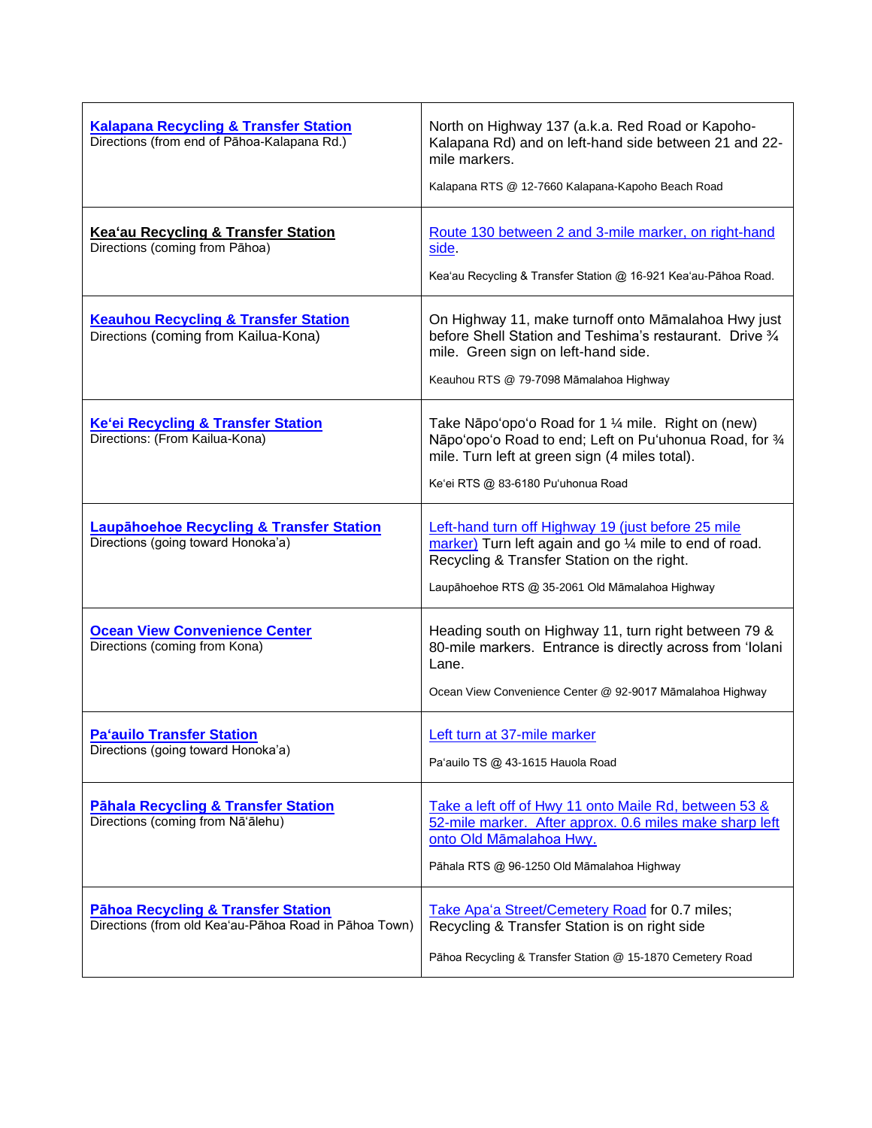| <b>Kalapana Recycling &amp; Transfer Station</b><br>Directions (from end of Pāhoa-Kalapana Rd.)        | North on Highway 137 (a.k.a. Red Road or Kapoho-<br>Kalapana Rd) and on left-hand side between 21 and 22-<br>mile markers.<br>Kalapana RTS @ 12-7660 Kalapana-Kapoho Beach Road                                |
|--------------------------------------------------------------------------------------------------------|----------------------------------------------------------------------------------------------------------------------------------------------------------------------------------------------------------------|
| Kea'au Recycling & Transfer Station<br>Directions (coming from Pāhoa)                                  | Route 130 between 2 and 3-mile marker, on right-hand<br>side.<br>Kea'au Recycling & Transfer Station @ 16-921 Kea'au-Pāhoa Road.                                                                               |
| <b>Keauhou Recycling &amp; Transfer Station</b><br>Directions (coming from Kailua-Kona)                | On Highway 11, make turnoff onto Māmalahoa Hwy just<br>before Shell Station and Teshima's restaurant. Drive 3/4<br>mile. Green sign on left-hand side.<br>Keauhou RTS @ 79-7098 Māmalahoa Highway              |
| <b>Ke'ei Recycling &amp; Transfer Station</b><br>Directions: (From Kailua-Kona)                        | Take Nāpo'opo'o Road for 1 1/4 mile. Right on (new)<br>Nāpo'opo'o Road to end; Left on Pu'uhonua Road, for 34<br>mile. Turn left at green sign (4 miles total).<br>Ke'ei RTS @ 83-6180 Pu'uhonua Road          |
| <b>Laupähoehoe Recycling &amp; Transfer Station</b><br>Directions (going toward Honoka'a)              | Left-hand turn off Highway 19 (just before 25 mile<br>marker) Turn left again and go 1/4 mile to end of road.<br>Recycling & Transfer Station on the right.<br>Laupāhoehoe RTS @ 35-2061 Old Māmalahoa Highway |
| <b>Ocean View Convenience Center</b><br>Directions (coming from Kona)                                  | Heading south on Highway 11, turn right between 79 &<br>80-mile markers. Entrance is directly across from 'Iolani<br>Lane.<br>Ocean View Convenience Center @ 92-9017 Māmalahoa Highway                        |
| <b>Pa'auilo Transfer Station</b><br>Directions (going toward Honoka'a)                                 | Left turn at 37-mile marker<br>Pa'auilo TS @ 43-1615 Hauola Road                                                                                                                                               |
| <b>Pähala Recycling &amp; Transfer Station</b><br>Directions (coming from Nā'ālehu)                    | Take a left off of Hwy 11 onto Maile Rd, between 53 &<br>52-mile marker. After approx. 0.6 miles make sharp left<br>onto Old Māmalahoa Hwy.<br>Pāhala RTS @ 96-1250 Old Māmalahoa Highway                      |
| <b>Pāhoa Recycling &amp; Transfer Station</b><br>Directions (from old Kea'au-Pāhoa Road in Pāhoa Town) | Take Apa'a Street/Cemetery Road for 0.7 miles;<br>Recycling & Transfer Station is on right side<br>Pāhoa Recycling & Transfer Station @ 15-1870 Cemetery Road                                                  |